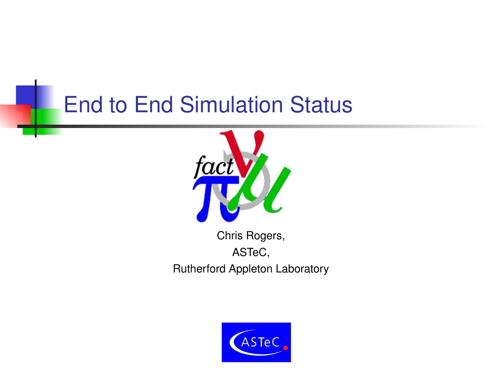## End to End Simulation Status



Chris Rogers, ASTeC, Rutherford Appleton Laboratory

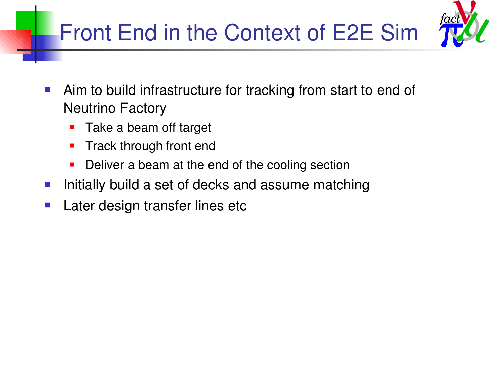# Front End in the Context of E2E Sim



- **Aim to build infrastructure for tracking from start to end of** Neutrino Factory
	- **Take a beam off target**
	- **Track through front end**
	- Deliver a beam at the end of the cooling section
- **Initially build a set of decks and assume matching**
- **Later design transfer lines etc**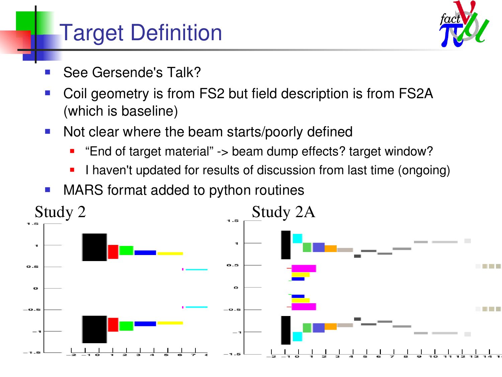# Target Definition



- See Gersende's Talk?
- Coil geometry is from FS2 but field description is from FS2A (which is baseline)
- Not clear where the beam starts/poorly defined
	- "End of target material" > beam dump effects? target window?
	- I haven't updated for results of discussion from last time (ongoing)
- MARS format added to python routines

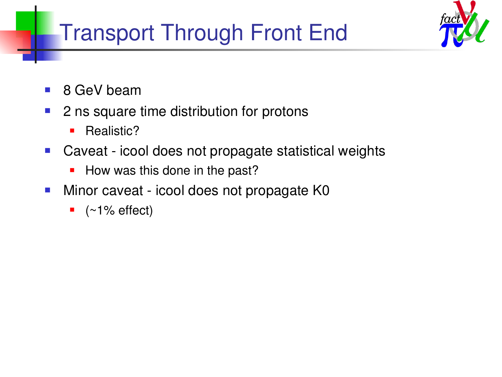# Transport Through Front End



- 8 GeV beam
- 2 ns square time distribution for protons
	- **Realistic?**
- Caveat icool does not propagate statistical weights
	- How was this done in the past?
- **Minor caveat icool does not propagate K0** 
	- $\bullet$  (~1% effect)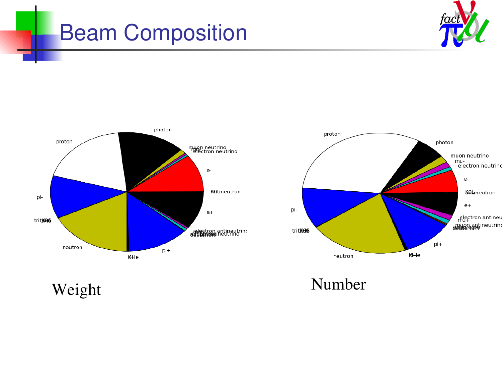### Beam Composition







Weight Number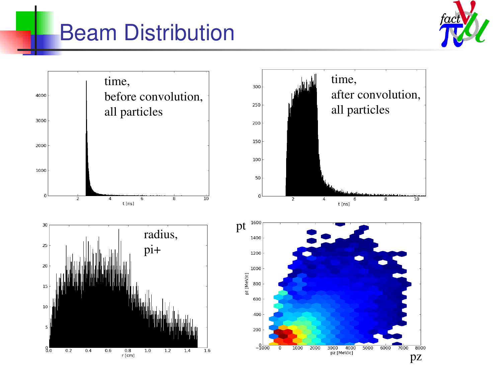# Beam Distribution



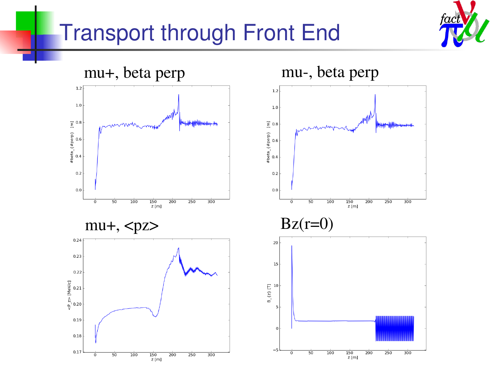## Transport through Front End



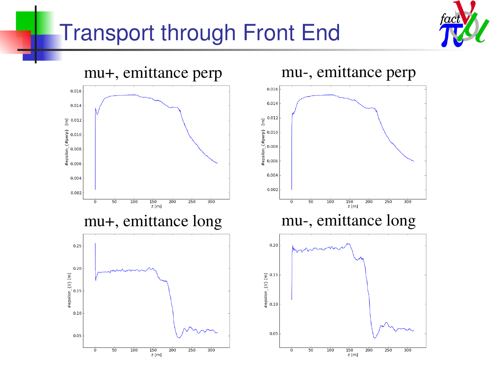### Transport through Front End